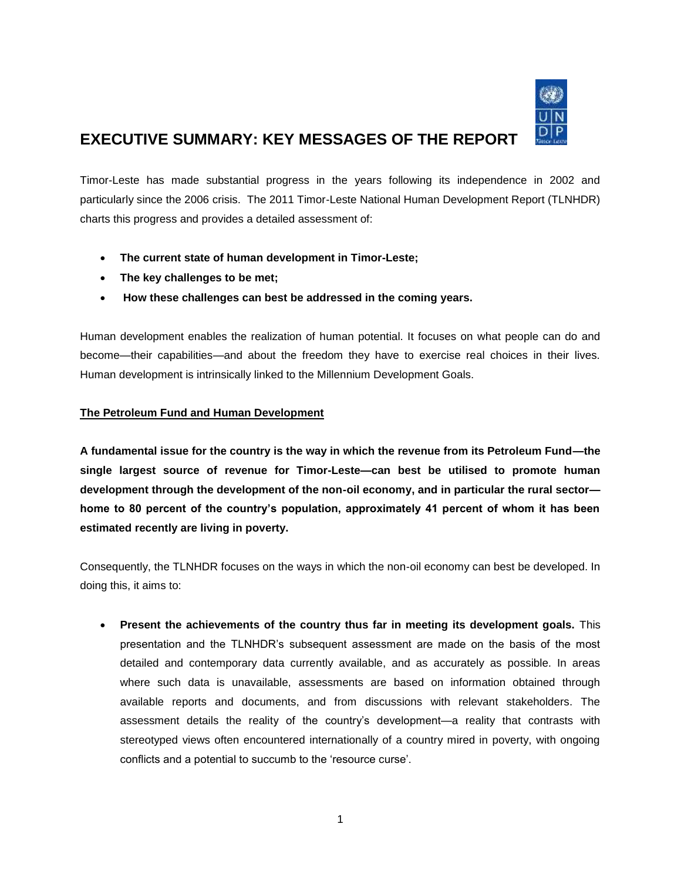

# **EXECUTIVE SUMMARY: KEY MESSAGES OF THE REPORT**

Timor-Leste has made substantial progress in the years following its independence in 2002 and particularly since the 2006 crisis. The 2011 Timor-Leste National Human Development Report (TLNHDR) charts this progress and provides a detailed assessment of:

- **The current state of human development in Timor-Leste;**
- **The key challenges to be met;**
- **How these challenges can best be addressed in the coming years.**

Human development enables the realization of human potential. It focuses on what people can do and become—their capabilities—and about the freedom they have to exercise real choices in their lives. Human development is intrinsically linked to the Millennium Development Goals.

# **The Petroleum Fund and Human Development**

**A fundamental issue for the country is the way in which the revenue from its Petroleum Fund—the single largest source of revenue for Timor-Leste—can best be utilised to promote human development through the development of the non-oil economy, and in particular the rural sector home to 80 percent of the country's population, approximately 41 percent of whom it has been estimated recently are living in poverty.** 

Consequently, the TLNHDR focuses on the ways in which the non-oil economy can best be developed. In doing this, it aims to:

 **Present the achievements of the country thus far in meeting its development goals.** This presentation and the TLNHDR"s subsequent assessment are made on the basis of the most detailed and contemporary data currently available, and as accurately as possible. In areas where such data is unavailable, assessments are based on information obtained through available reports and documents, and from discussions with relevant stakeholders. The assessment details the reality of the country"s development—a reality that contrasts with stereotyped views often encountered internationally of a country mired in poverty, with ongoing conflicts and a potential to succumb to the "resource curse".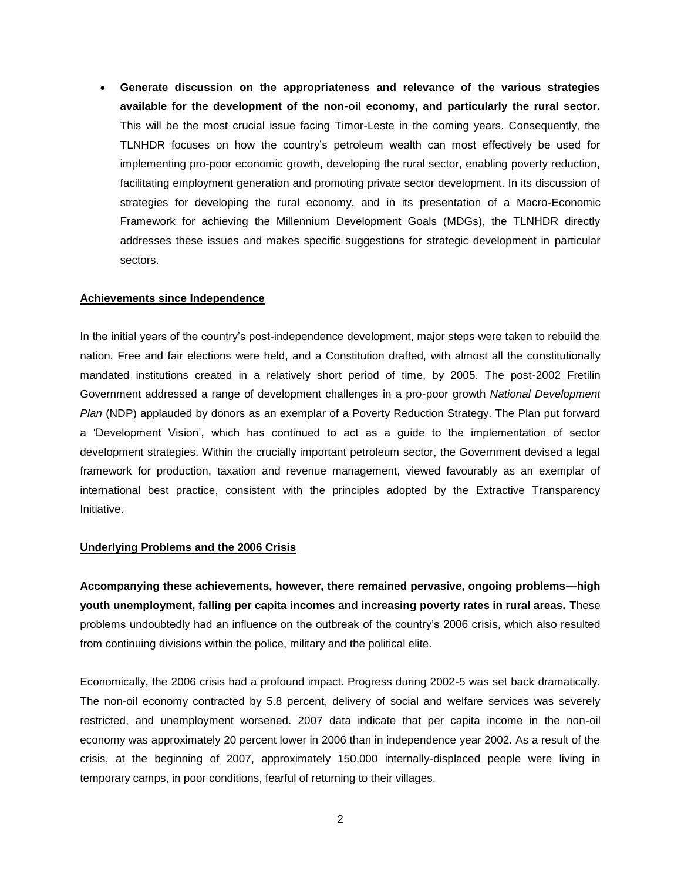**Generate discussion on the appropriateness and relevance of the various strategies available for the development of the non-oil economy, and particularly the rural sector.** This will be the most crucial issue facing Timor-Leste in the coming years. Consequently, the TLNHDR focuses on how the country"s petroleum wealth can most effectively be used for implementing pro-poor economic growth, developing the rural sector, enabling poverty reduction, facilitating employment generation and promoting private sector development. In its discussion of strategies for developing the rural economy, and in its presentation of a Macro-Economic Framework for achieving the Millennium Development Goals (MDGs), the TLNHDR directly addresses these issues and makes specific suggestions for strategic development in particular sectors.

#### **Achievements since Independence**

In the initial years of the country"s post-independence development, major steps were taken to rebuild the nation. Free and fair elections were held, and a Constitution drafted, with almost all the constitutionally mandated institutions created in a relatively short period of time, by 2005. The post-2002 Fretilin Government addressed a range of development challenges in a pro-poor growth *National Development Plan* (NDP) applauded by donors as an exemplar of a Poverty Reduction Strategy. The Plan put forward a "Development Vision", which has continued to act as a guide to the implementation of sector development strategies. Within the crucially important petroleum sector, the Government devised a legal framework for production, taxation and revenue management, viewed favourably as an exemplar of international best practice, consistent with the principles adopted by the Extractive Transparency Initiative.

# **Underlying Problems and the 2006 Crisis**

**Accompanying these achievements, however, there remained pervasive, ongoing problems—high youth unemployment, falling per capita incomes and increasing poverty rates in rural areas.** These problems undoubtedly had an influence on the outbreak of the country"s 2006 crisis, which also resulted from continuing divisions within the police, military and the political elite.

Economically, the 2006 crisis had a profound impact. Progress during 2002-5 was set back dramatically. The non-oil economy contracted by 5.8 percent, delivery of social and welfare services was severely restricted, and unemployment worsened. 2007 data indicate that per capita income in the non-oil economy was approximately 20 percent lower in 2006 than in independence year 2002. As a result of the crisis, at the beginning of 2007, approximately 150,000 internally-displaced people were living in temporary camps, in poor conditions, fearful of returning to their villages.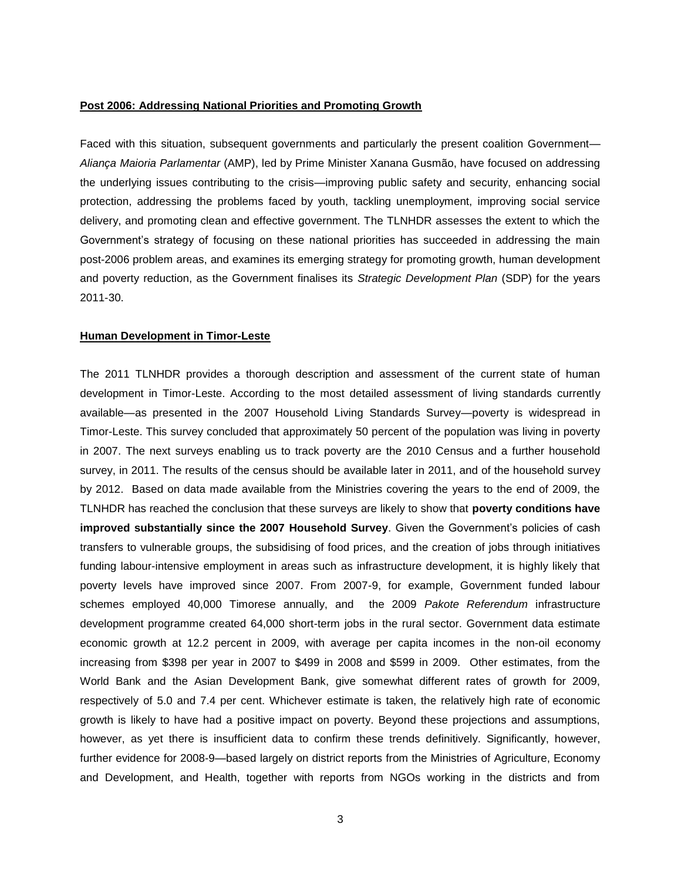#### **Post 2006: Addressing National Priorities and Promoting Growth**

Faced with this situation, subsequent governments and particularly the present coalition Government— *Aliança Maioria Parlamentar* (AMP), led by Prime Minister Xanana Gusmão, have focused on addressing the underlying issues contributing to the crisis—improving public safety and security, enhancing social protection, addressing the problems faced by youth, tackling unemployment, improving social service delivery, and promoting clean and effective government. The TLNHDR assesses the extent to which the Government's strategy of focusing on these national priorities has succeeded in addressing the main post-2006 problem areas, and examines its emerging strategy for promoting growth, human development and poverty reduction, as the Government finalises its *Strategic Development Plan* (SDP) for the years 2011-30.

#### **Human Development in Timor-Leste**

The 2011 TLNHDR provides a thorough description and assessment of the current state of human development in Timor-Leste. According to the most detailed assessment of living standards currently available—as presented in the 2007 Household Living Standards Survey—poverty is widespread in Timor-Leste. This survey concluded that approximately 50 percent of the population was living in poverty in 2007. The next surveys enabling us to track poverty are the 2010 Census and a further household survey, in 2011. The results of the census should be available later in 2011, and of the household survey by 2012. Based on data made available from the Ministries covering the years to the end of 2009, the TLNHDR has reached the conclusion that these surveys are likely to show that **poverty conditions have improved substantially since the 2007 Household Survey**. Given the Government"s policies of cash transfers to vulnerable groups, the subsidising of food prices, and the creation of jobs through initiatives funding labour-intensive employment in areas such as infrastructure development, it is highly likely that poverty levels have improved since 2007. From 2007-9, for example, Government funded labour schemes employed 40,000 Timorese annually, and the 2009 *Pakote Referendum* infrastructure development programme created 64,000 short-term jobs in the rural sector. Government data estimate economic growth at 12.2 percent in 2009, with average per capita incomes in the non-oil economy increasing from \$398 per year in 2007 to \$499 in 2008 and \$599 in 2009. Other estimates, from the World Bank and the Asian Development Bank, give somewhat different rates of growth for 2009, respectively of 5.0 and 7.4 per cent. Whichever estimate is taken, the relatively high rate of economic growth is likely to have had a positive impact on poverty. Beyond these projections and assumptions, however, as yet there is insufficient data to confirm these trends definitively. Significantly, however, further evidence for 2008-9—based largely on district reports from the Ministries of Agriculture, Economy and Development, and Health, together with reports from NGOs working in the districts and from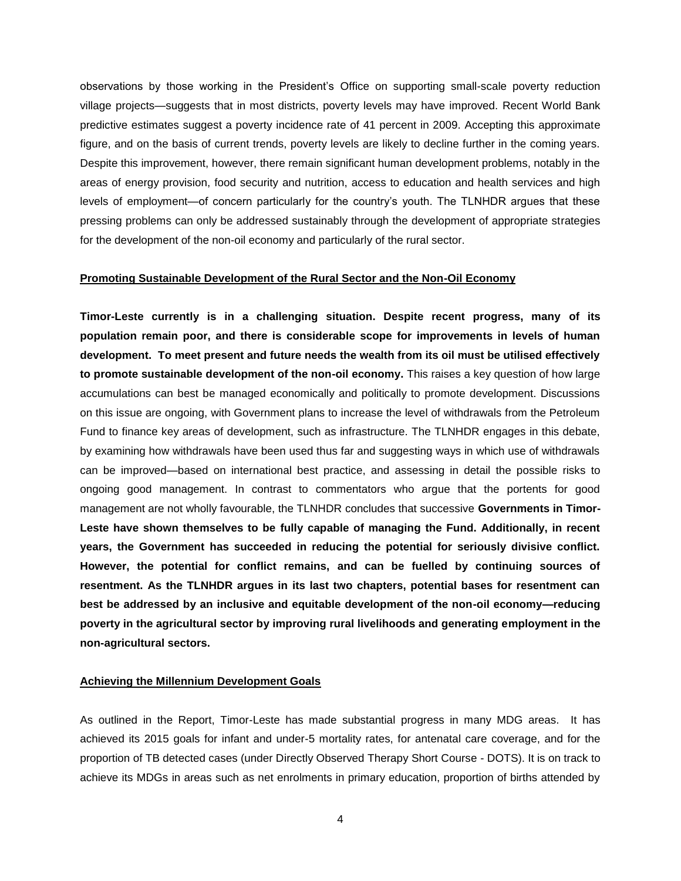observations by those working in the President"s Office on supporting small-scale poverty reduction village projects—suggests that in most districts, poverty levels may have improved. Recent World Bank predictive estimates suggest a poverty incidence rate of 41 percent in 2009. Accepting this approximate figure, and on the basis of current trends, poverty levels are likely to decline further in the coming years. Despite this improvement, however, there remain significant human development problems, notably in the areas of energy provision, food security and nutrition, access to education and health services and high levels of employment—of concern particularly for the country"s youth. The TLNHDR argues that these pressing problems can only be addressed sustainably through the development of appropriate strategies for the development of the non-oil economy and particularly of the rural sector.

## **Promoting Sustainable Development of the Rural Sector and the Non-Oil Economy**

**Timor-Leste currently is in a challenging situation. Despite recent progress, many of its population remain poor, and there is considerable scope for improvements in levels of human development. To meet present and future needs the wealth from its oil must be utilised effectively to promote sustainable development of the non-oil economy.** This raises a key question of how large accumulations can best be managed economically and politically to promote development. Discussions on this issue are ongoing, with Government plans to increase the level of withdrawals from the Petroleum Fund to finance key areas of development, such as infrastructure. The TLNHDR engages in this debate, by examining how withdrawals have been used thus far and suggesting ways in which use of withdrawals can be improved—based on international best practice, and assessing in detail the possible risks to ongoing good management. In contrast to commentators who argue that the portents for good management are not wholly favourable, the TLNHDR concludes that successive **Governments in Timor-Leste have shown themselves to be fully capable of managing the Fund. Additionally, in recent years, the Government has succeeded in reducing the potential for seriously divisive conflict. However, the potential for conflict remains, and can be fuelled by continuing sources of resentment. As the TLNHDR argues in its last two chapters, potential bases for resentment can best be addressed by an inclusive and equitable development of the non-oil economy—reducing poverty in the agricultural sector by improving rural livelihoods and generating employment in the non-agricultural sectors.** 

## **Achieving the Millennium Development Goals**

As outlined in the Report, Timor-Leste has made substantial progress in many MDG areas. It has achieved its 2015 goals for infant and under-5 mortality rates, for antenatal care coverage, and for the proportion of TB detected cases (under Directly Observed Therapy Short Course - DOTS). It is on track to achieve its MDGs in areas such as net enrolments in primary education, proportion of births attended by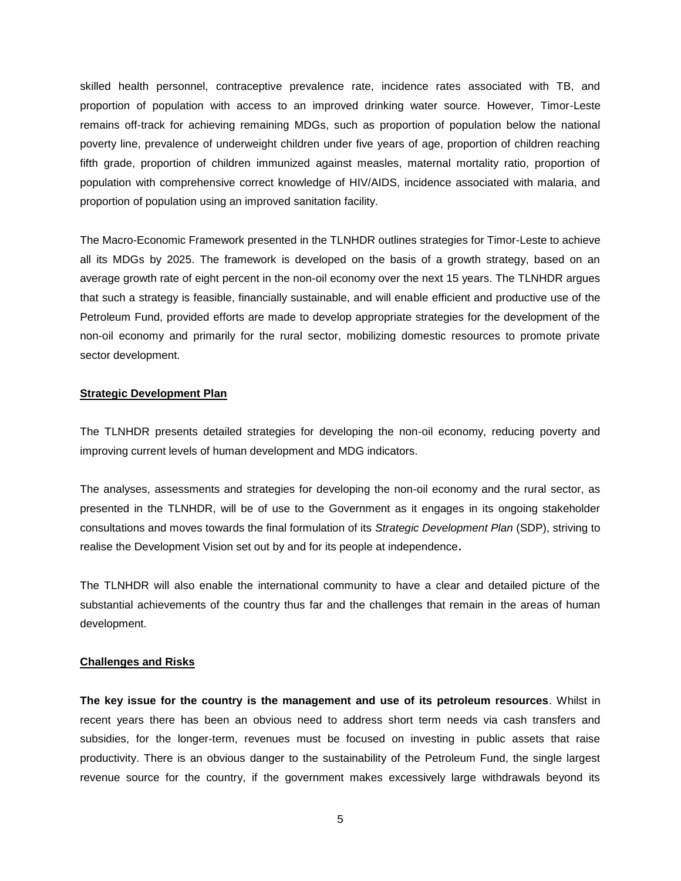skilled health personnel, contraceptive prevalence rate, incidence rates associated with TB, and proportion of population with access to an improved drinking water source. However, Timor-Leste remains off-track for achieving remaining MDGs, such as proportion of population below the national poverty line, prevalence of underweight children under five years of age, proportion of children reaching fifth grade, proportion of children immunized against measles, maternal mortality ratio, proportion of population with comprehensive correct knowledge of HIV/AIDS, incidence associated with malaria, and proportion of population using an improved sanitation facility.

The Macro-Economic Framework presented in the TLNHDR outlines strategies for Timor-Leste to achieve all its MDGs by 2025. The framework is developed on the basis of a growth strategy, based on an average growth rate of eight percent in the non-oil economy over the next 15 years. The TLNHDR argues that such a strategy is feasible, financially sustainable, and will enable efficient and productive use of the Petroleum Fund, provided efforts are made to develop appropriate strategies for the development of the non-oil economy and primarily for the rural sector, mobilizing domestic resources to promote private sector development.

#### **Strategic Development Plan**

The TLNHDR presents detailed strategies for developing the non-oil economy, reducing poverty and improving current levels of human development and MDG indicators.

The analyses, assessments and strategies for developing the non-oil economy and the rural sector, as presented in the TLNHDR, will be of use to the Government as it engages in its ongoing stakeholder consultations and moves towards the final formulation of its *Strategic Development Plan* (SDP), striving to realise the Development Vision set out by and for its people at independence**.**

The TLNHDR will also enable the international community to have a clear and detailed picture of the substantial achievements of the country thus far and the challenges that remain in the areas of human development.

## **Challenges and Risks**

**The key issue for the country is the management and use of its petroleum resources**. Whilst in recent years there has been an obvious need to address short term needs via cash transfers and subsidies, for the longer-term, revenues must be focused on investing in public assets that raise productivity. There is an obvious danger to the sustainability of the Petroleum Fund, the single largest revenue source for the country, if the government makes excessively large withdrawals beyond its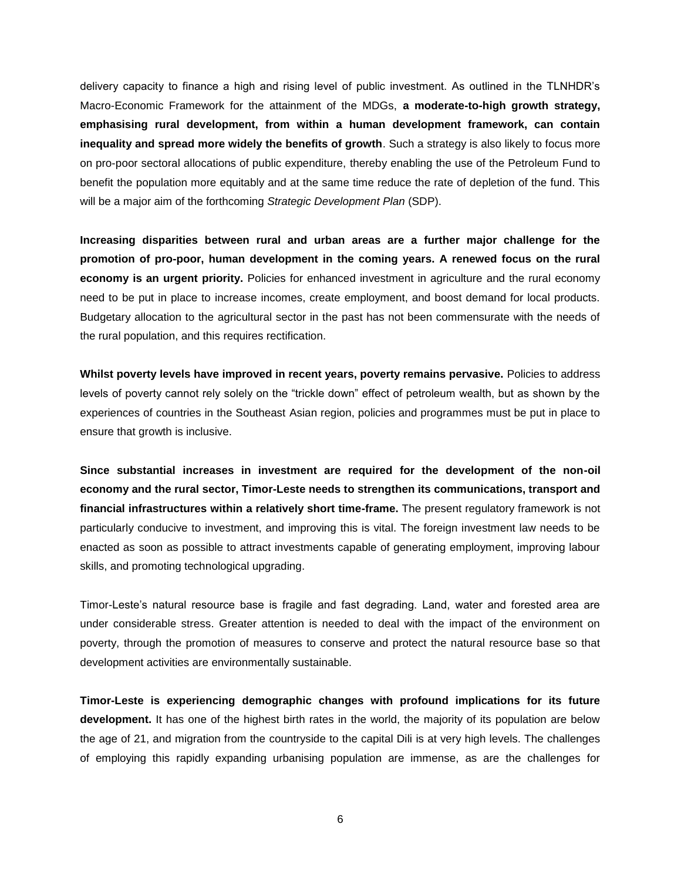delivery capacity to finance a high and rising level of public investment. As outlined in the TLNHDR"s Macro-Economic Framework for the attainment of the MDGs, **a moderate-to-high growth strategy, emphasising rural development, from within a human development framework, can contain inequality and spread more widely the benefits of growth**. Such a strategy is also likely to focus more on pro-poor sectoral allocations of public expenditure, thereby enabling the use of the Petroleum Fund to benefit the population more equitably and at the same time reduce the rate of depletion of the fund. This will be a major aim of the forthcoming *Strategic Development Plan* (SDP).

**Increasing disparities between rural and urban areas are a further major challenge for the promotion of pro-poor, human development in the coming years. A renewed focus on the rural economy is an urgent priority.** Policies for enhanced investment in agriculture and the rural economy need to be put in place to increase incomes, create employment, and boost demand for local products. Budgetary allocation to the agricultural sector in the past has not been commensurate with the needs of the rural population, and this requires rectification.

**Whilst poverty levels have improved in recent years, poverty remains pervasive.** Policies to address levels of poverty cannot rely solely on the "trickle down" effect of petroleum wealth, but as shown by the experiences of countries in the Southeast Asian region, policies and programmes must be put in place to ensure that growth is inclusive.

**Since substantial increases in investment are required for the development of the non-oil economy and the rural sector, Timor-Leste needs to strengthen its communications, transport and financial infrastructures within a relatively short time-frame.** The present regulatory framework is not particularly conducive to investment, and improving this is vital. The foreign investment law needs to be enacted as soon as possible to attract investments capable of generating employment, improving labour skills, and promoting technological upgrading.

Timor-Leste"s natural resource base is fragile and fast degrading. Land, water and forested area are under considerable stress. Greater attention is needed to deal with the impact of the environment on poverty, through the promotion of measures to conserve and protect the natural resource base so that development activities are environmentally sustainable.

**Timor-Leste is experiencing demographic changes with profound implications for its future development.** It has one of the highest birth rates in the world, the majority of its population are below the age of 21, and migration from the countryside to the capital Dili is at very high levels. The challenges of employing this rapidly expanding urbanising population are immense, as are the challenges for